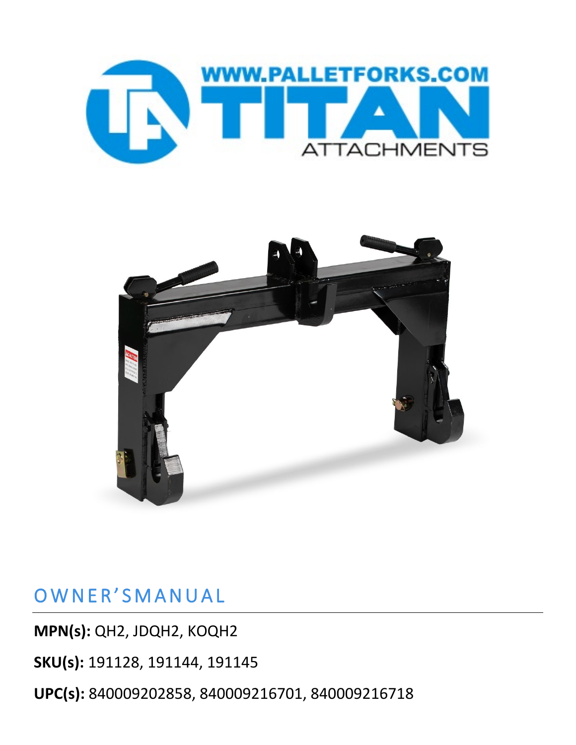



## OWNER'SMANUAL

**MPN(s):** QH2, JDQH2, KOQH2

**SKU(s):** 191128, 191144, 191145

**UPC(s):** 840009202858, 840009216701, 840009216718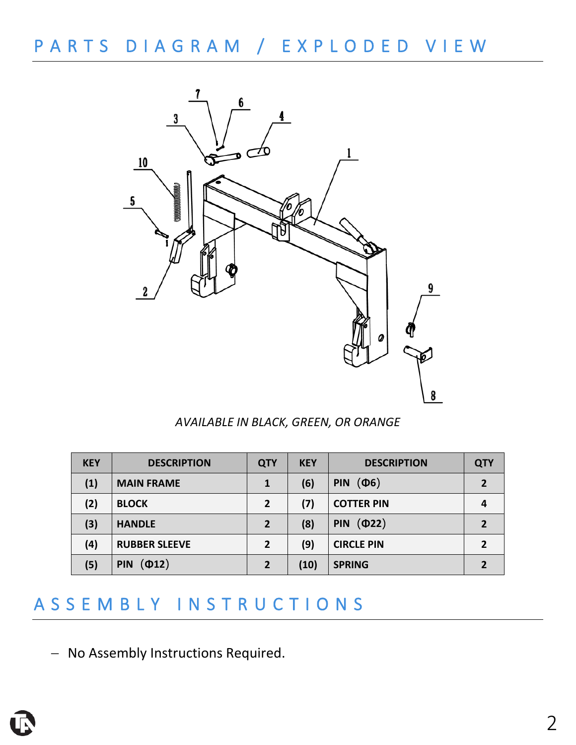# PARTS DIAGRAM / EXPLODED VIEW



*AVAILABLE IN BLACK, GREEN, OR ORANGE*

| <b>KEY</b> | <b>DESCRIPTION</b>                | <b>QTY</b>     | <b>KEY</b> | <b>DESCRIPTION</b>       | <b>QTY</b> |
|------------|-----------------------------------|----------------|------------|--------------------------|------------|
| (1)        | <b>MAIN FRAME</b>                 | 1              | (6)        | $(\Phi 6)$<br><b>PIN</b> |            |
| (2)        | <b>BLOCK</b>                      | $\overline{2}$ | (7)        | <b>COTTER PIN</b>        |            |
| (3)        | <b>HANDLE</b>                     | 2              | (8)        | (D22)<br><b>PIN</b>      |            |
| (4)        | <b>RUBBER SLEEVE</b>              | $\overline{2}$ | (9)        | <b>CIRCLE PIN</b>        | 2          |
| (5)        | $\left( 012\right)$<br><b>PIN</b> | $\overline{2}$ | (10)       | <b>SPRING</b>            |            |

## ASSEMBLY INSTRUCTIONS

− No Assembly Instructions Required.